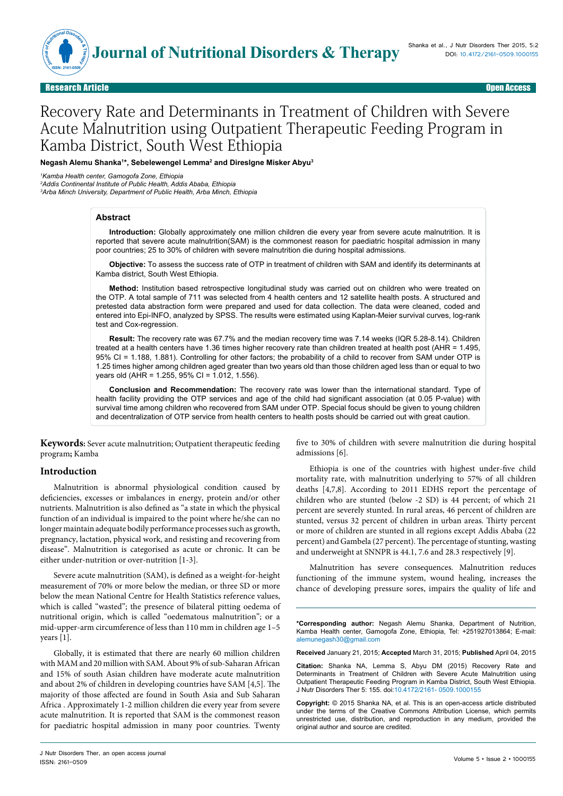

Research Article Open Access

# Recovery Rate and Determinants in Treatment of Children with Severe Acute Malnutrition using Outpatient Therapeutic Feeding Program in Kamba District, South West Ethiopia

**Negash Alemu Shanka1 \*, Sebelewengel Lemma2 and Direslgne Misker Abyu3**

*1 Kamba Health center, Gamogofa Zone, Ethiopia 2 Addis Continental Institute of Public Health, Addis Ababa, Ethiopia 3 Arba Minch University, Department of Public Health, Arba Minch, Ethiopia*

# **Abstract**

**Introduction:** Globally approximately one million children die every year from severe acute malnutrition. It is reported that severe acute malnutrition(SAM) is the commonest reason for paediatric hospital admission in many poor countries; 25 to 30% of children with severe malnutrition die during hospital admissions.

**Objective:** To assess the success rate of OTP in treatment of children with SAM and identify its determinants at Kamba district, South West Ethiopia.

**Method:** Institution based retrospective longitudinal study was carried out on children who were treated on the OTP. A total sample of 711 was selected from 4 health centers and 12 satellite health posts. A structured and pretested data abstraction form were prepared and used for data collection. The data were cleaned, coded and entered into Epi-INFO, analyzed by SPSS. The results were estimated using Kaplan-Meier survival curves, log-rank test and Cox-regression.

**Result:** The recovery rate was 67.7% and the median recovery time was 7.14 weeks (IQR 5.28-8.14). Children treated at a health centers have 1.36 times higher recovery rate than children treated at health post (AHR = 1.495, 95% CI = 1.188, 1.881). Controlling for other factors; the probability of a child to recover from SAM under OTP is 1.25 times higher among children aged greater than two years old than those children aged less than or equal to two years old (AHR = 1.255, 95% CI = 1.012, 1.556).

**Conclusion and Recommendation:** The recovery rate was lower than the international standard. Type of health facility providing the OTP services and age of the child had significant association (at 0.05 P-value) with survival time among children who recovered from SAM under OTP. Special focus should be given to young children and decentralization of OTP service from health centers to health posts should be carried out with great caution.

**Keywords:** Sever acute malnutrition; Outpatient therapeutic feeding program**;** Kamba

# **Introduction**

Malnutrition is abnormal physiological condition caused by deficiencies, excesses or imbalances in energy, protein and/or other nutrients. Malnutrition is also defined as "a state in which the physical function of an individual is impaired to the point where he/she can no longer maintain adequate bodily performance processes such as growth, pregnancy, lactation, physical work, and resisting and recovering from disease". Malnutrition is categorised as acute or chronic. It can be either under-nutrition or over-nutrition [1-3].

Severe acute malnutrition (SAM), is defined as a weight-for-height measurement of 70% or more below the median, or three SD or more below the mean National Centre for Health Statistics reference values, which is called "wasted"; the presence of bilateral pitting oedema of nutritional origin, which is called "oedematous malnutrition"; or a mid-upper-arm circumference of less than 110 mm in children age 1–5 years [1].

Globally, it is estimated that there are nearly 60 million children with MAM and 20 million with SAM. About 9% of sub-Saharan African and 15% of south Asian children have moderate acute malnutrition and about 2% of children in developing countries have SAM [4,5]. The majority of those affected are found in South Asia and Sub Saharan Africa . Approximately 1-2 million children die every year from severe acute malnutrition. It is reported that SAM is the commonest reason for paediatric hospital admission in many poor countries. Twenty

five to 30% of children with severe malnutrition die during hospital admissions [6].

Ethiopia is one of the countries with highest under-five child mortality rate, with malnutrition underlying to 57% of all children deaths [4,7,8]. According to 2011 EDHS report the percentage of children who are stunted (below -2 SD) is 44 percent; of which 21 percent are severely stunted. In rural areas, 46 percent of children are stunted, versus 32 percent of children in urban areas. Thirty percent or more of children are stunted in all regions except Addis Ababa (22 percent) and Gambela (27 percent). The percentage of stunting, wasting and underweight at SNNPR is 44.1, 7.6 and 28.3 respectively [9].

Malnutrition has severe consequences. Malnutrition reduces functioning of the immune system, wound healing, increases the chance of developing pressure sores, impairs the quality of life and

**\*Corresponding author:** Negash Alemu Shanka, Department of Nutrition, Kamba Health center, Gamogofa Zone, Ethiopia, Tel: +251927013864; E-mail: alemunegash30@gmail.com

**Received** January 21, 2015; **Accepted** March 31, 2015; **Published** April 04, 2015

**Citation:** Shanka NA, Lemma S, Abyu DM (2015) Recovery Rate and Determinants in Treatment of Children with Severe Acute Malnutrition using Outpatient Therapeutic Feeding Program in Kamba District, South West Ethiopia. J Nutr Disorders Ther 5: 155. doi:10.4172/2161- 0509.1000155

**Copyright:** © 2015 Shanka NA, et al. This is an open-access article distributed under the terms of the Creative Commons Attribution License, which permits unrestricted use, distribution, and reproduction in any medium, provided the original author and source are credited.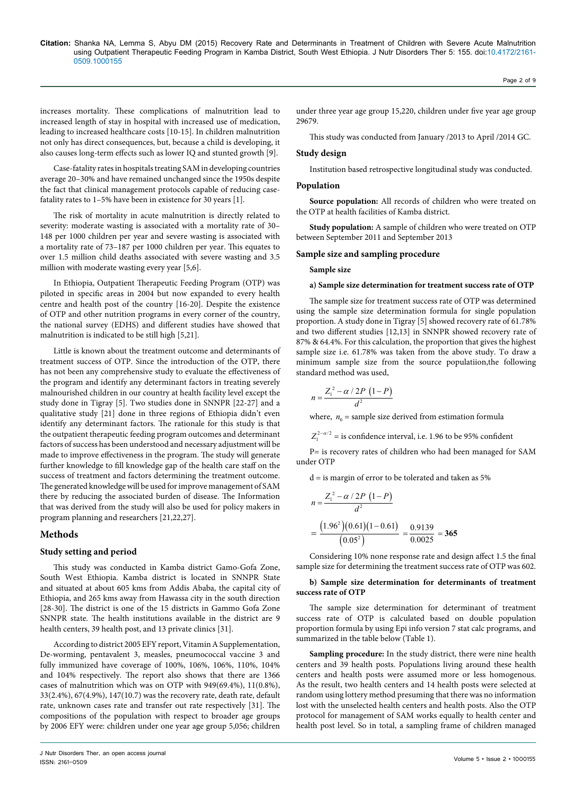increases mortality. These complications of malnutrition lead to increased length of stay in hospital with increased use of medication, leading to increased healthcare costs [10-15]. In children malnutrition not only has direct consequences, but, because a child is developing, it also causes long-term effects such as lower IQ and stunted growth [9].

Case-fatality rates in hospitals treating SAM in developing countries average 20–30% and have remained unchanged since the 1950s despite the fact that clinical management protocols capable of reducing casefatality rates to 1–5% have been in existence for 30 years [1].

The risk of mortality in acute malnutrition is directly related to severity: moderate wasting is associated with a mortality rate of 30– 148 per 1000 children per year and severe wasting is associated with a mortality rate of 73–187 per 1000 children per year. This equates to over 1.5 million child deaths associated with severe wasting and 3.5 million with moderate wasting every year [5,6].

In Ethiopia, Outpatient Therapeutic Feeding Program (OTP) was piloted in specific areas in 2004 but now expanded to every health centre and health post of the country [16-20]. Despite the existence of OTP and other nutrition programs in every corner of the country, the national survey (EDHS) and different studies have showed that malnutrition is indicated to be still high [5,21].

Little is known about the treatment outcome and determinants of treatment success of OTP. Since the introduction of the OTP, there has not been any comprehensive study to evaluate the effectiveness of the program and identify any determinant factors in treating severely malnourished children in our country at health facility level except the study done in Tigray [5]. Two studies done in SNNPR [22-27] and a qualitative study [21] done in three regions of Ethiopia didn't even identify any determinant factors. The rationale for this study is that the outpatient therapeutic feeding program outcomes and determinant factors of success has been understood and necessary adjustment will be made to improve effectiveness in the program. The study will generate further knowledge to fill knowledge gap of the health care staff on the success of treatment and factors determining the treatment outcome. The generated knowledge will be used for improve management of SAM there by reducing the associated burden of disease. The Information that was derived from the study will also be used for policy makers in program planning and researchers [21,22,27].

#### **Methods**

# **Study setting and period**

This study was conducted in Kamba district Gamo-Gofa Zone, South West Ethiopia. Kamba district is located in SNNPR State and situated at about 605 kms from Addis Ababa, the capital city of Ethiopia, and 265 kms away from Hawassa city in the south direction [28-30]. The district is one of the 15 districts in Gammo Gofa Zone SNNPR state. The health institutions available in the district are 9 health centers, 39 health post, and 13 private clinics [31].

According to district 2005 EFY report, Vitamin A Supplementation, De-worming, pentavalent 3, measles, pneumococcal vaccine 3 and fully immunized have coverage of 100%, 106%, 106%, 110%, 104% and 104% respectively. The report also shows that there are 1366 cases of malnutrition which was on OTP with 949(69.4%), 11(0.8%), 33(2.4%), 67(4.9%), 147(10.7) was the recovery rate, death rate, default rate, unknown cases rate and transfer out rate respectively [31]. The compositions of the population with respect to broader age groups by 2006 EFY were: children under one year age group 5,056; children

under three year age group 15,220, children under five year age group 29679.

This study was conducted from January /2013 to April /2014 GC.

#### **Study design**

Institution based retrospective longitudinal study was conducted.

#### **Population**

**Source population:** All records of children who were treated on the OTP at health facilities of Kamba district.

**Study population:** A sample of children who were treated on OTP between September 2011 and September 2013

#### **Sample size and sampling procedure**

#### **Sample size**

#### **a) Sample size determination for treatment success rate of OTP**

The sample size for treatment success rate of OTP was determined using the sample size determination formula for single population proportion. A study done in Tigray [5] showed recovery rate of 61.78% and two different studies [12,13] in SNNPR showed recovery rate of 87% & 64.4%. For this calculation, the proportion that gives the highest sample size i.e. 61.78% was taken from the above study. To draw a minimum sample size from the source populatiion,the following standard method was used,

$$
n = \frac{Z_1^2 - \alpha/2P(1-P)}{d^2}
$$

where,  $n_0$  = sample size derived from estimation formula

 $Z_1^{2-\alpha/2}$  = is confidence interval, i.e. 1.96 to be 95% confident

P= is recovery rates of children who had been managed for SAM under OTP

 $d = i$ s margin of error to be tolerated and taken as 5%

$$
n = \frac{Z_1^2 - \alpha / 2P (1 - P)}{d^2}
$$
  
= 
$$
\frac{(1.96^2)(0.61)(1 - 0.61)}{(0.05^2)} = \frac{0.9139}{0.0025} = 365
$$

Considering 10% none response rate and design affect 1.5 the final sample size for determining the treatment success rate of OTP was 602.

#### **b) Sample size determination for determinants of treatment success rate of OTP**

The sample size determination for determinant of treatment success rate of OTP is calculated based on double population proportion formula by using Epi info version 7 stat calc programs, and summarized in the table below (Table 1).

**Sampling procedure:** In the study district, there were nine health centers and 39 health posts. Populations living around these health centers and health posts were assumed more or less homogenous. As the result, two health centers and 14 health posts were selected at random using lottery method presuming that there was no information lost with the unselected health centers and health posts. Also the OTP protocol for management of SAM works equally to health center and health post level. So in total, a sampling frame of children managed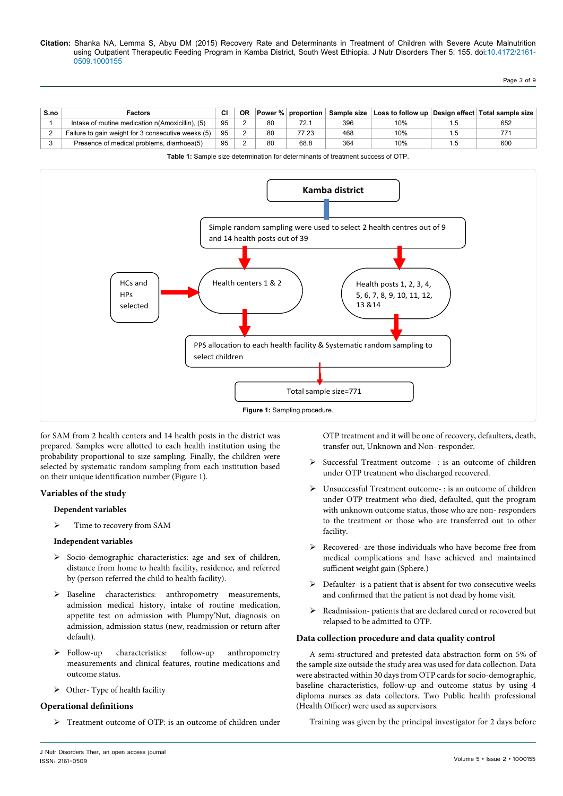Page 3 of 9

| S.no | <b>Factors</b>                                     | СI | <b>OR</b> |    | Power % proportion | Sample size | Loss to follow up Design effect Total sample size |     |     |
|------|----------------------------------------------------|----|-----------|----|--------------------|-------------|---------------------------------------------------|-----|-----|
|      | Intake of routine medication n(Amoxicillin), (5)   | 95 |           | 80 | 72.1               | 396         | 10%                                               |     | 652 |
|      | Failure to gain weight for 3 consecutive weeks (5) | 95 |           | 80 | 77.23              | 468         | 10%                                               | . 5 | 771 |
|      | Presence of medical problems, diarrhoea(5)         | 95 |           | 80 | 68.8               | 364         | 10%                                               |     | 600 |





for SAM from 2 health centers and 14 health posts in the district was prepared. Samples were allotted to each health institution using the probability proportional to size sampling. Finally, the children were selected by systematic random sampling from each institution based on their unique identification number (Figure 1).

# **Variables of the study**

# **Dependent variables**

 $\triangleright$  Time to recovery from SAM

#### **Independent variables**

- $\triangleright$  Socio-demographic characteristics: age and sex of children, distance from home to health facility, residence, and referred by (person referred the child to health facility).
- $\triangleright$  Baseline characteristics: anthropometry measurements, admission medical history, intake of routine medication, appetite test on admission with Plumpy'Nut, diagnosis on admission, admission status (new, readmission or return after default).
- Follow-up characteristics: follow-up anthropometry measurements and clinical features, routine medications and outcome status.
- $\triangleright$  Other- Type of health facility

# **Operational definitions**

Treatment outcome of OTP: is an outcome of children under

OTP treatment and it will be one of recovery, defaulters, death, transfer out, Unknown and Non- responder.

- $\triangleright$  Successful Treatment outcome-: is an outcome of children under OTP treatment who discharged recovered.
- Unsuccessful Treatment outcome- : is an outcome of children under OTP treatment who died, defaulted, quit the program with unknown outcome status, those who are non- responders to the treatment or those who are transferred out to other facility.
- $\triangleright$  Recovered- are those individuals who have become free from medical complications and have achieved and maintained sufficient weight gain (Sphere.)
- $\triangleright$  Defaulter- is a patient that is absent for two consecutive weeks and confirmed that the patient is not dead by home visit.
- Readmission- patients that are declared cured or recovered but relapsed to be admitted to OTP.

# **Data collection procedure and data quality control**

A semi-structured and pretested data abstraction form on 5% of the sample size outside the study area was used for data collection. Data were abstracted within 30 days from OTP cards for socio-demographic, baseline characteristics, follow-up and outcome status by using 4 diploma nurses as data collectors. Two Public health professional (Health Officer) were used as supervisors.

Training was given by the principal investigator for 2 days before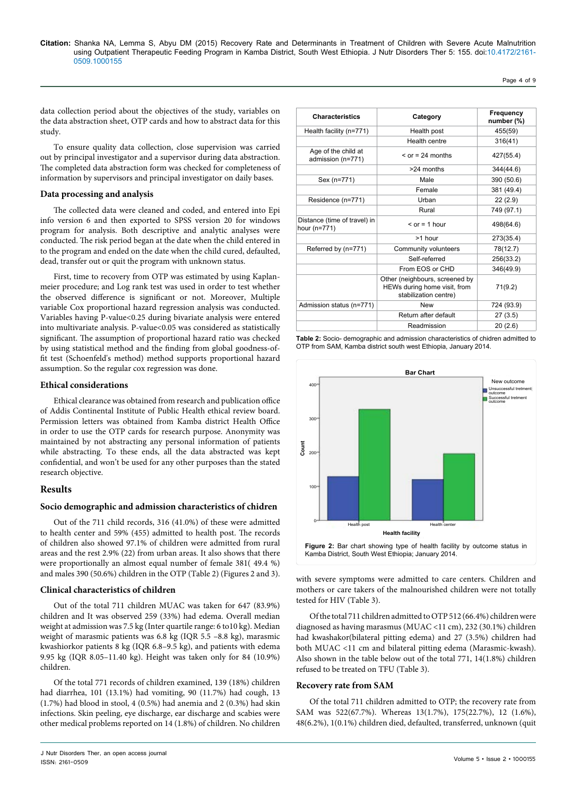Page 4 of 9

data collection period about the objectives of the study, variables on the data abstraction sheet, OTP cards and how to abstract data for this study.

To ensure quality data collection, close supervision was carried out by principal investigator and a supervisor during data abstraction. The completed data abstraction form was checked for completeness of information by supervisors and principal investigator on daily bases.

#### **Data processing and analysis**

The collected data were cleaned and coded, and entered into Epi info version 6 and then exported to SPSS version 20 for windows program for analysis. Both descriptive and analytic analyses were conducted. The risk period began at the date when the child entered in to the program and ended on the date when the child cured, defaulted, dead, transfer out or quit the program with unknown status.

First, time to recovery from OTP was estimated by using Kaplanmeier procedure; and Log rank test was used in order to test whether the observed difference is significant or not. Moreover, Multiple variable Cox proportional hazard regression analysis was conducted. Variables having P-value<0.25 during bivariate analysis were entered into multivariate analysis. P-value<0.05 was considered as statistically significant. The assumption of proportional hazard ratio was checked by using statistical method and the finding from global goodness-offit test (Schoenfeld's method) method supports proportional hazard assumption. So the regular cox regression was done.

#### **Ethical considerations**

Ethical clearance was obtained from research and publication office of Addis Continental Institute of Public Health ethical review board. Permission letters was obtained from Kamba district Health Office in order to use the OTP cards for research purpose. Anonymity was maintained by not abstracting any personal information of patients while abstracting. To these ends, all the data abstracted was kept confidential, and won't be used for any other purposes than the stated research objective.

# **Results**

# **Socio demographic and admission characteristics of chidren**

Out of the 711 child records, 316 (41.0%) of these were admitted to health center and 59% (455) admitted to health post. The records of children also showed 97.1% of children were admitted from rural areas and the rest 2.9% (22) from urban areas. It also shows that there were proportionally an almost equal number of female 381( 49.4 %) and males 390 (50.6%) children in the OTP (Table 2) (Figures 2 and 3).

# **Clinical characteristics of children**

Out of the total 711 children MUAC was taken for 647 (83.9%) children and It was observed 259 (33%) had edema. Overall median weight at admission was 7.5 kg (Inter quartile range: 6 to10 kg). Median weight of marasmic patients was 6.8 kg (IQR 5.5 –8.8 kg), marasmic kwashiorkor patients 8 kg (IQR 6.8–9.5 kg), and patients with edema 9.95 kg (IQR 8.05–11.40 kg). Height was taken only for 84 (10.9%) children.

Of the total 771 records of children examined, 139 (18%) children had diarrhea, 101 (13.1%) had vomiting, 90 (11.7%) had cough, 13 (1.7%) had blood in stool, 4 (0.5%) had anemia and 2 (0.3%) had skin infections. Skin peeling, eye discharge, ear discharge and scabies were other medical problems reported on 14 (1.8%) of children. No children

| <b>Characteristics</b>                       | Category                                                                                | Frequency<br>number (%)<br>455(59) |  |
|----------------------------------------------|-----------------------------------------------------------------------------------------|------------------------------------|--|
| Health facility (n=771)                      | Health post                                                                             |                                    |  |
|                                              | Health centre                                                                           | 316(41)                            |  |
| Age of the child at<br>admission (n=771)     | $\le$ or = 24 months                                                                    | 427(55.4)                          |  |
|                                              | >24 months                                                                              | 344(44.6)                          |  |
| Sex (n=771)                                  | Male                                                                                    | 390 (50.6)                         |  |
|                                              | Female                                                                                  | 381 (49.4)                         |  |
| Residence (n=771)                            | Urban                                                                                   | 22(2.9)                            |  |
|                                              | Rural                                                                                   | 749 (97.1)                         |  |
| Distance (time of travel) in<br>hour (n=771) | $\le$ or = 1 hour                                                                       | 498(64.6)                          |  |
|                                              | >1 hour                                                                                 | 273(35.4)                          |  |
| Referred by (n=771)                          | Community volunteers                                                                    | 78(12.7)                           |  |
|                                              | Self-referred                                                                           | 256(33.2)                          |  |
|                                              | From EOS or CHD                                                                         | 346(49.9)                          |  |
|                                              | Other (neighbours, screened by<br>HEWs during home visit, from<br>stabilization centre) | 71(9.2)                            |  |
| Admission status (n=771)                     | <b>New</b>                                                                              | 724 (93.9)                         |  |
|                                              | Return after default                                                                    | 27(3.5)                            |  |
|                                              | Readmission                                                                             | 20(2.6)                            |  |

**Table 2:** Socio- demographic and admission characteristics of chidren admitted to OTP from SAM, Kamba district south west Ethiopia, January 2014.



with severe symptoms were admitted to care centers. Children and mothers or care takers of the malnourished children were not totally tested for HIV (Table 3).

Of the total 711 children admitted to OTP 512 (66.4%) children were diagnosed as having marasmus (MUAC <11 cm), 232 (30.1%) children had kwashakor(bilateral pitting edema) and 27 (3.5%) children had both MUAC <11 cm and bilateral pitting edema (Marasmic-kwash). Also shown in the table below out of the total 771, 14(1.8%) children refused to be treated on TFU (Table 3).

#### **Recovery rate from SAM**

Of the total 711 children admitted to OTP; the recovery rate from SAM was 522(67.7%). Whereas 13(1.7%), 175(22.7%), 12 (1.6%), 48(6.2%), 1(0.1%) children died, defaulted, transferred, unknown (quit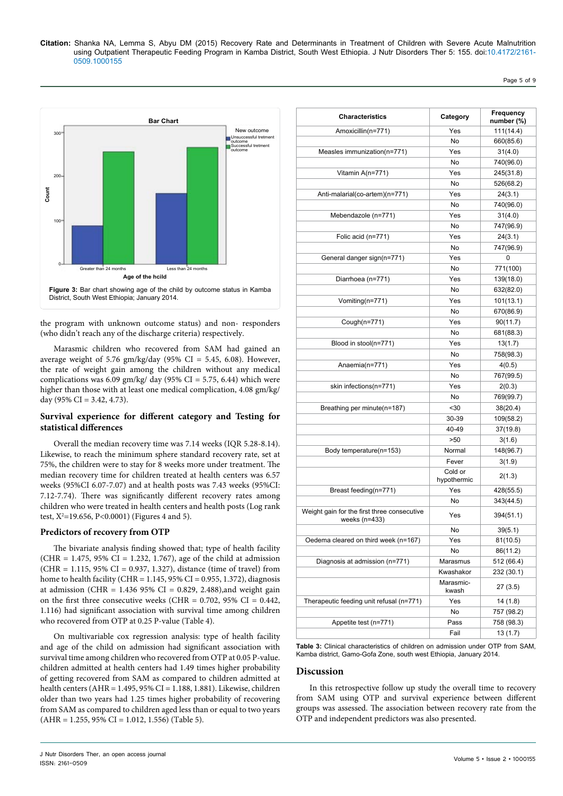

the program with unknown outcome status) and non- responders (who didn't reach any of the discharge criteria) respectively.

Marasmic children who recovered from SAM had gained an average weight of 5.76 gm/kg/day (95% CI = 5.45, 6.08). However, the rate of weight gain among the children without any medical complications was 6.09 gm/kg/ day (95% CI = 5.75, 6.44) which were higher than those with at least one medical complication, 4.08 gm/kg/ day (95% CI = 3.42, 4.73).

# **Survival experience for different category and Testing for statistical differences**

Overall the median recovery time was 7.14 weeks (IQR 5.28-8.14). Likewise, to reach the minimum sphere standard recovery rate, set at 75%, the children were to stay for 8 weeks more under treatment. The median recovery time for children treated at health centers was 6.57 weeks (95%CI 6.07-7.07) and at health posts was 7.43 weeks (95%CI: 7.12-7.74). There was significantly different recovery rates among children who were treated in health centers and health posts (Log rank test, X²=19.656, P<0.0001) (Figures 4 and 5).

# **Predictors of recovery from OTP**

The bivariate analysis finding showed that; type of health facility (CHR = 1.475, 95% CI = 1.232, 1.767), age of the child at admission (CHR = 1.115, 95% CI = 0.937, 1.327), distance (time of travel) from home to health facility (CHR =  $1.145$ ,  $95\%$  CI = 0.955, 1.372), diagnosis at admission (CHR =  $1.436$  95% CI = 0.829, 2.488), and weight gain on the first three consecutive weeks (CHR =  $0.702$ ,  $95\%$  CI =  $0.442$ , 1.116) had significant association with survival time among children who recovered from OTP at 0.25 P-value (Table 4).

On multivariable cox regression analysis: type of health facility and age of the child on admission had significant association with survival time among children who recovered from OTP at 0.05 P-value. children admitted at health centers had 1.49 times higher probability of getting recovered from SAM as compared to children admitted at health centers (AHR = 1.495, 95% CI = 1.188, 1.881). Likewise, children older than two years had 1.25 times higher probability of recovering from SAM as compared to children aged less than or equal to two years (AHR = 1.255, 95% CI = 1.012, 1.556) (Table 5).

| <b>Characteristics</b>                                         | Category               | Frequency<br>number (%) |  |  |
|----------------------------------------------------------------|------------------------|-------------------------|--|--|
| Amoxicillin(n=771)                                             | Yes                    | 111(14.4)               |  |  |
|                                                                | No                     | 660(85.6)               |  |  |
| Measles immunization(n=771)                                    | Yes                    | 31(4.0)                 |  |  |
|                                                                | <b>No</b>              | 740(96.0)               |  |  |
| Vitamin A(n=771)                                               | Yes                    | 245(31.8)               |  |  |
|                                                                | No                     | 526(68.2)               |  |  |
| Anti-malarial(co-artem)(n=771)                                 | Yes                    | 24(3.1)                 |  |  |
|                                                                | No                     | 740(96.0)               |  |  |
| Mebendazole (n=771)                                            | Yes                    | 31(4.0)                 |  |  |
|                                                                | No                     | 747(96.9)               |  |  |
| Folic acid (n=771)                                             | Yes                    | 24(3.1)                 |  |  |
|                                                                | No                     | 747(96.9)               |  |  |
| General danger sign(n=771)                                     | Yes                    | 0                       |  |  |
|                                                                | No                     | 771(100)                |  |  |
| Diarrhoea (n=771)                                              | Yes                    | 139(18.0)               |  |  |
|                                                                | No                     | 632(82.0)               |  |  |
| Vomiting(n=771)                                                | Yes                    | 101(13.1)               |  |  |
|                                                                | No                     | 670(86.9)               |  |  |
| Cough(n=771)                                                   | Yes                    | 90(11.7)                |  |  |
|                                                                | No                     | 681(88.3)               |  |  |
| Blood in stool(n=771)                                          | Yes                    | 13(1.7)                 |  |  |
|                                                                | No                     | 758(98.3)               |  |  |
| Anaemia(n=771)                                                 | Yes                    | 4(0.5)                  |  |  |
|                                                                | No                     | 767(99.5)               |  |  |
| skin infections(n=771)                                         | Yes                    | 2(0.3)                  |  |  |
|                                                                | No                     | 769(99.7)               |  |  |
| Breathing per minute(n=187)                                    | $30$                   | 38(20.4)                |  |  |
|                                                                | 30-39                  | 109(58.2)               |  |  |
|                                                                | 40-49                  | 37(19.8)                |  |  |
|                                                                | >50                    | 3(1.6)                  |  |  |
| Body temperature(n=153)                                        | Normal                 | 148(96.7)               |  |  |
|                                                                | Fever                  | 3(1.9)                  |  |  |
|                                                                | Cold or<br>hypothermic | 2(1.3)                  |  |  |
| Breast feeding(n=771)                                          | Yes                    | 428(55.5)               |  |  |
|                                                                | No                     | 343(44.5)               |  |  |
| Weight gain for the first three consecutive<br>weeks $(n=433)$ | Yes                    | 394(51.1)               |  |  |
|                                                                | No                     | 39(5.1)                 |  |  |
| Oedema cleared on third week (n=167)                           | Yes                    | 81(10.5)                |  |  |
|                                                                | No                     | 86(11.2)                |  |  |
| Diagnosis at admission (n=771)                                 | Marasmus               | 512 (66.4)              |  |  |
|                                                                | Kwashakor              | 232 (30.1)              |  |  |
|                                                                | Marasmic-<br>kwash     | 27(3.5)                 |  |  |
| Therapeutic feeding unit refusal (n=771)                       | Yes                    | 14 (1.8)                |  |  |
|                                                                | No                     | 757 (98.2)              |  |  |
| Appetite test (n=771)                                          | Pass                   | 758 (98.3)              |  |  |
|                                                                | Fail                   | 13 (1.7)                |  |  |

**Table 3:** Clinical characteristics of children on admission under OTP from SAM, Kamba district, Gamo-Gofa Zone, south west Ethiopia, January 2014.

# **Discussion**

In this retrospective follow up study the overall time to recovery from SAM using OTP and survival experience between different groups was assessed. The association between recovery rate from the OTP and independent predictors was also presented.

Page 5 of 9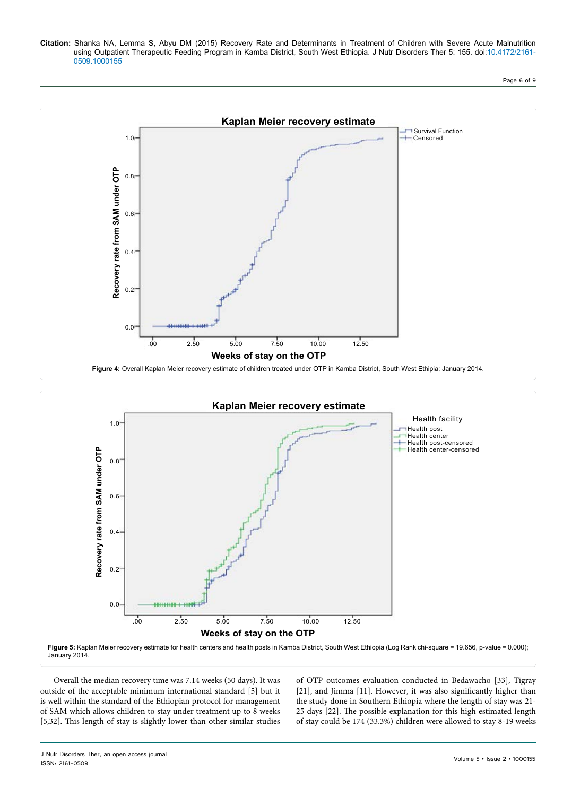



Overall the median recovery time was 7.14 weeks (50 days). It was outside of the acceptable minimum international standard [5] but it is well within the standard of the Ethiopian protocol for management of SAM which allows children to stay under treatment up to 8 weeks [5,32]. This length of stay is slightly lower than other similar studies of OTP outcomes evaluation conducted in Bedawacho [33], Tigray [21], and Jimma [11]. However, it was also significantly higher than the study done in Southern Ethiopia where the length of stay was 21- 25 days [22]. The possible explanation for this high estimated length of stay could be 174 (33.3%) children were allowed to stay 8-19 weeks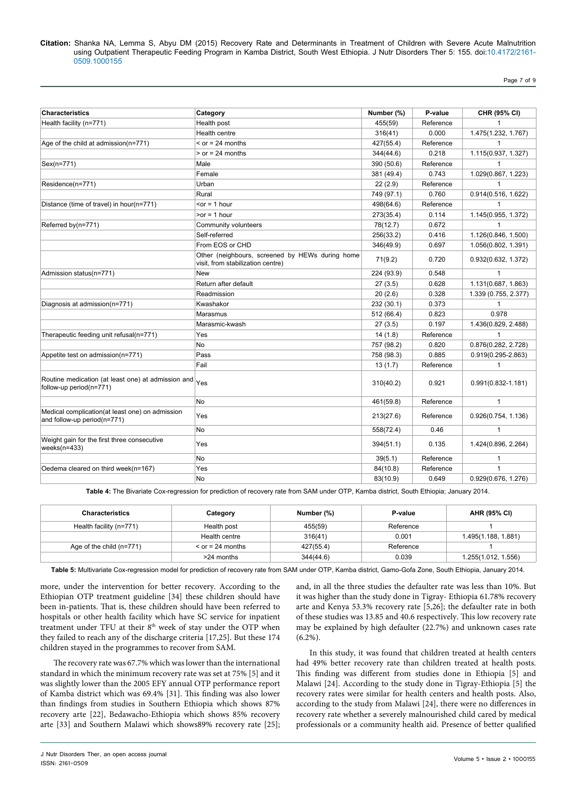Page 7 of 9

| <b>Characteristics</b>                                                         | Category                                                                             | Number (%) | P-value   | CHR (95% CI)           |
|--------------------------------------------------------------------------------|--------------------------------------------------------------------------------------|------------|-----------|------------------------|
|                                                                                |                                                                                      |            |           | 1                      |
| Health facility (n=771)                                                        | Health post                                                                          | 455(59)    | Reference |                        |
|                                                                                | <b>Health centre</b>                                                                 | 316(41)    | 0.000     | 1.475(1.232, 1.767)    |
| Age of the child at admission(n=771)                                           | $\le$ or = 24 months                                                                 | 427(55.4)  | Reference | $\mathbf{1}$           |
|                                                                                | $>$ or = 24 months                                                                   | 344(44.6)  | 0.218     | 1.115(0.937, 1.327)    |
| Sex(n=771)                                                                     | Male                                                                                 | 390 (50.6) | Reference | 1                      |
|                                                                                | Female                                                                               | 381 (49.4) | 0.743     | 1.029(0.867, 1.223)    |
| Residence(n=771)                                                               | Urban                                                                                | 22(2.9)    | Reference | 1                      |
|                                                                                | Rural                                                                                | 749 (97.1) | 0.760     | 0.914(0.516, 1.622)    |
| Distance (time of travel) in hour(n=771)                                       | $or = 1 hour$                                                                        | 498(64.6)  | Reference | $\mathbf{1}$           |
|                                                                                | $\gamma$ or = 1 hour                                                                 | 273(35.4)  | 0.114     | 1.145(0.955, 1.372)    |
| Referred by(n=771)                                                             | Community volunteers                                                                 | 78(12.7)   | 0.672     | 1                      |
|                                                                                | Self-referred                                                                        | 256(33.2)  | 0.416     | 1.126(0.846, 1.500)    |
|                                                                                | From EOS or CHD                                                                      | 346(49.9)  | 0.697     | 1.056(0.802, 1.391)    |
|                                                                                | Other (neighbours, screened by HEWs during home<br>visit, from stabilization centre) | 71(9.2)    | 0.720     | 0.932(0.632, 1.372)    |
| Admission status(n=771)                                                        | <b>New</b>                                                                           | 224 (93.9) | 0.548     | $\mathbf{1}$           |
|                                                                                | Return after default                                                                 | 27(3.5)    | 0.628     | 1.131(0.687, 1.863)    |
|                                                                                | Readmission                                                                          | 20(2.6)    | 0.328     | 1.339 (0.755, 2.377)   |
| Diagnosis at admission(n=771)                                                  | Kwashakor                                                                            | 232 (30.1) | 0.373     | $\mathbf{1}$           |
|                                                                                | Marasmus                                                                             | 512 (66.4) | 0.823     | 0.978                  |
|                                                                                | Marasmic-kwash                                                                       | 27(3.5)    | 0.197     | 1.436(0.829, 2.488)    |
| Therapeutic feeding unit refusal(n=771)                                        | Yes                                                                                  | 14(1.8)    | Reference | $\mathbf{1}$           |
|                                                                                | No                                                                                   | 757 (98.2) | 0.820     | 0.876(0.282, 2.728)    |
| Appetite test on admission(n=771)                                              | Pass                                                                                 | 758 (98.3) | 0.885     | $0.919(0.295 - 2.863)$ |
|                                                                                | Fail                                                                                 | 13(1.7)    | Reference | $\mathbf{1}$           |
| Routine medication (at least one) at admission and<br>follow-up period(n=771)  | Yes                                                                                  | 310(40.2)  | 0.921     | $0.991(0.832 - 1.181)$ |
|                                                                                | No                                                                                   | 461(59.8)  | Reference | $\mathbf{1}$           |
| Medical complication(at least one) on admission<br>and follow-up period(n=771) | Yes                                                                                  | 213(27.6)  | Reference | 0.926(0.754, 1.136)    |
|                                                                                | No                                                                                   | 558(72.4)  | 0.46      | $\mathbf{1}$           |
| Weight gain for the first three consecutive<br>$weeks(n=433)$                  | Yes                                                                                  | 394(51.1)  | 0.135     | 1.424(0.896, 2.264)    |
|                                                                                | No                                                                                   | 39(5.1)    | Reference | $\mathbf{1}$           |
| Oedema cleared on third week(n=167)                                            | Yes                                                                                  | 84(10.8)   | Reference | $\mathbf{1}$           |
|                                                                                | No                                                                                   | 83(10.9)   | 0.649     | 0.929(0.676, 1.276)    |

**Table 4:** The Bivariate Cox-regression for prediction of recovery rate from SAM under OTP, Kamba district, South Ethiopia; January 2014.

| <b>Characteristics</b>     | Category             | Number (%) | P-value   | AHR (95% CI)        |
|----------------------------|----------------------|------------|-----------|---------------------|
| Health facility (n=771)    | Health post          | 455(59)    | Reference |                     |
|                            | Health centre        | 316(41)    | 0.001     | 1.495(1.188, 1.881) |
| Age of the child $(n=771)$ | $\le$ or = 24 months | 427(55.4)  | Reference |                     |
|                            | >24 months           | 344(44.6)  | 0.039     | 1.255(1.012, 1.556) |

**Table 5:** Multivariate Cox-regression model for prediction of recovery rate from SAM under OTP, Kamba district, Gamo-Gofa Zone, South Ethiopia, January 2014.

more, under the intervention for better recovery. According to the Ethiopian OTP treatment guideline [34] these children should have been in-patients. That is, these children should have been referred to hospitals or other health facility which have SC service for inpatient treatment under TFU at their 8<sup>th</sup> week of stay under the OTP when they failed to reach any of the discharge criteria [17,25]. But these 174 children stayed in the programmes to recover from SAM.

The recovery rate was 67.7% which was lower than the international standard in which the minimum recovery rate was set at 75% [5] and it was slightly lower than the 2005 EFY annual OTP performance report of Kamba district which was 69.4% [31]. This finding was also lower than findings from studies in Southern Ethiopia which shows 87% recovery arte [22], Bedawacho-Ethiopia which shows 85% recovery arte [33] and Southern Malawi which shows89% recovery rate [25]; and, in all the three studies the defaulter rate was less than 10%. But it was higher than the study done in Tigray- Ethiopia 61.78% recovery arte and Kenya 53.3% recovery rate [5,26]; the defaulter rate in both of these studies was 13.85 and 40.6 respectively. This low recovery rate may be explained by high defaulter (22.7%) and unknown cases rate  $(6.2\%)$ .

In this study, it was found that children treated at health centers had 49% better recovery rate than children treated at health posts. This finding was different from studies done in Ethiopia [5] and Malawi [24]. According to the study done in Tigray-Ethiopia [5] the recovery rates were similar for health centers and health posts. Also, according to the study from Malawi [24], there were no differences in recovery rate whether a severely malnourished child cared by medical professionals or a community health aid. Presence of better qualified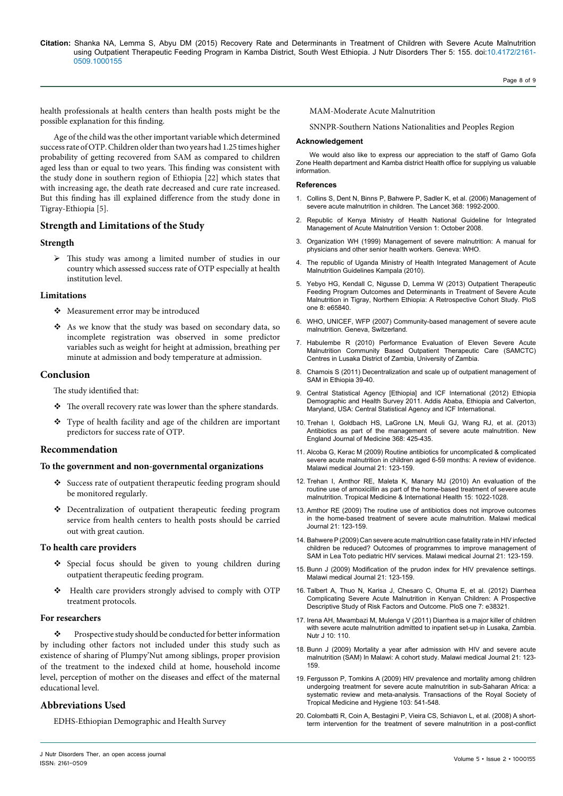Page 8 of 9

health professionals at health centers than health posts might be the possible explanation for this finding.

Age of the child was the other important variable which determined success rate of OTP. Children older than two years had 1.25 times higher probability of getting recovered from SAM as compared to children aged less than or equal to two years. This finding was consistent with the study done in southern region of Ethiopia [22] which states that with increasing age, the death rate decreased and cure rate increased. But this finding has ill explained difference from the study done in Tigray-Ethiopia [5].

# **Strength and Limitations of the Study**

# **Strength**

 This study was among a limited number of studies in our country which assessed success rate of OTP especially at health institution level.

# **Limitations**

- \* Measurement error may be introduced
- \* As we know that the study was based on secondary data, so incomplete registration was observed in some predictor variables such as weight for height at admission, breathing per minute at admission and body temperature at admission.

# **Conclusion**

The study identified that:

- \* The overall recovery rate was lower than the sphere standards.
- \* Type of health facility and age of the children are important predictors for success rate of OTP.

# **Recommendation**

# **To the government and non-governmental organizations**

- $\bullet$  Success rate of outpatient therapeutic feeding program should be monitored regularly.
- Decentralization of outpatient therapeutic feeding program service from health centers to health posts should be carried out with great caution.

# **To health care providers**

- Special focus should be given to young children during outpatient therapeutic feeding program.
- Health care providers strongly advised to comply with OTP treatment protocols.

# **For researchers**

\* Prospective study should be conducted for better information by including other factors not included under this study such as existence of sharing of Plumpy'Nut among siblings, proper provision of the treatment to the indexed child at home, household income level, perception of mother on the diseases and effect of the maternal educational level.

# **Abbreviations Used**

EDHS-Ethiopian Demographic and Health Survey

MAM-Moderate Acute Malnutrition

SNNPR-Southern Nations Nationalities and Peoples Region

#### **Acknowledgement**

We would also like to express our appreciation to the staff of Gamo Gofa Zone Health department and Kamba district Health office for supplying us valuable information.

#### **References**

- 1. [Collins S, Dent N, Binns P, Bahwere P, Sadler K, et al. \(2006\) Management of](http://www.ncbi.nlm.nih.gov/pubmed/17141707)  [severe acute malnutrition in children. The Lancet 368: 1992-2000.](http://www.ncbi.nlm.nih.gov/pubmed/17141707)
- Republic of Kenya Ministry of Health National Guideline for Integrated Management of Acute Malnutrition Version 1: October 2008.
- 3. [Organization WH \(1999\) Management of severe malnutrition: A manual for](http://www.who.int/nutrition/publications/en/manage_severe_malnutrition_eng.pdf) [physicians and other senior health workers. Geneva: WHO.](http://www.who.int/nutrition/publications/en/manage_severe_malnutrition_eng.pdf)
- The republic of Uganda Ministry of Health Integrated Management of Acute Malnutrition Guidelines Kampala (2010).
- [Yebyo HG, Kendall C, Nigusse D, Lemma W \(2013\) Outpatient Therapeutic](http://www.ncbi.nlm.nih.gov/pubmed/23755286) [Feeding Program Outcomes and Determinants in Treatment of Severe Acute](http://www.ncbi.nlm.nih.gov/pubmed/23755286) [Malnutrition in Tigray, Northern Ethiopia: A Retrospective Cohort Study. PloS](http://www.ncbi.nlm.nih.gov/pubmed/23755286) [one 8: e65840.](http://www.ncbi.nlm.nih.gov/pubmed/23755286)
- 6. WHO, UNICEF, WFP (2007) Community-based management of severe acute malnutrition. Geneva, Switzerland.
- 7. [Habulembe R \(2010\) Performance Evaluation of Eleven Severe Acute](http://dspace.unza.zm:8080/xmlui/handle/123456789/787?show=full) [Malnutrition Community Based Outpatient Therapeutic Care \(SAMCTC\)](http://dspace.unza.zm:8080/xmlui/handle/123456789/787?show=full) [Centres in Lusaka District of Zambia, University of Zambia.](http://dspace.unza.zm:8080/xmlui/handle/123456789/787?show=full)
- 8. [Chamois S \(2011\) Decentralization and scale up of outpatient management of](http://www.ennonline.net/fex/40/decentralisation) [SAM in Ethiopia 39-40.](http://www.ennonline.net/fex/40/decentralisation)
- 9. Central Statistical Agency [Ethiopia] and ICF International (2012) Ethiopia Demographic and Health Survey 2011. Addis Ababa, Ethiopia and Calverton, Maryland, USA: Central Statistical Agency and ICF International.
- 10. [Trehan I, Goldbach HS, LaGrone LN, Meuli GJ, Wang RJ, et al. \(2013\)](http://www.nejm.org/doi/full/10.1056/NEJMoa1202851) [Antibiotics as part of the management of severe acute malnutrition. New](http://www.nejm.org/doi/full/10.1056/NEJMoa1202851) [England Journal of Medicine 368: 425-435.](http://www.nejm.org/doi/full/10.1056/NEJMoa1202851)
- 11. Alcoba G, Kerac M (2009) Routine antibiotics for uncomplicated & complicated severe acute malnutrition in children aged 6-59 months: A review of evidence. Malawi medical Journal 21: 123-159.
- 12. [Trehan I, Amthor RE, Maleta K, Manary MJ \(2010\) An evaluation of the](http://www.ncbi.nlm.nih.gov/pmc/articles/PMC2962695/) [routine use of amoxicillin as part of the home-based treatment of severe acute](http://www.ncbi.nlm.nih.gov/pmc/articles/PMC2962695/) [malnutrition. Tropical Medicine & International Health 15: 1022-1028.](http://www.ncbi.nlm.nih.gov/pmc/articles/PMC2962695/)
- 13. Amthor RE (2009) The routine use of antibiotics does not improve outcomes in the home-based treatment of severe acute malnutrition. Malawi medical Journal 21: 123-159.
- 14. Bahwere P (2009) Can severe acute malnutrition case fatality rate in HIV infected children be reduced? Outcomes of programmes to improve management of SAM in Lea Toto pediatric HIV services. Malawi medical Journal 21: 123-159.
- 15. Bunn J (2009) Modification of the prudon index for HIV prevalence settings. Malawi medical Journal 21: 123-159.
- 16. [Talbert A, Thuo N, Karisa J, Chesaro C, Ohuma E, et al. \(2012\) Diarrhea](http://www.ncbi.nlm.nih.gov/pubmed/22675542) [Complicating Severe Acute Malnutrition in Kenyan Children: A Prospective](http://www.ncbi.nlm.nih.gov/pubmed/22675542) [Descriptive Study of Risk Factors and Outcome. PloS one 7: e38321.](http://www.ncbi.nlm.nih.gov/pubmed/22675542)
- 17. [Irena AH, Mwambazi M, Mulenga V \(2011\) Diarrhea is a major killer of children](http://www.ncbi.nlm.nih.gov/pmc/articles/PMC3214843/)  [with severe acute malnutrition admitted to inpatient set-up in Lusaka, Zambia.](http://www.ncbi.nlm.nih.gov/pmc/articles/PMC3214843/) [Nutr J 10: 110.](http://www.ncbi.nlm.nih.gov/pmc/articles/PMC3214843/)
- 18. Bunn J (2009) Mortality a year after admission with HIV and severe acute malnutrition (SAM) In Malawi: A cohort study. Malawi medical Journal 21: 123- 159.
- 19. [Fergusson P, Tomkins A \(2009\) HIV prevalence and mortality among children](http://www.ncbi.nlm.nih.gov/pubmed/19058824) [undergoing treatment for severe acute malnutrition in sub-Saharan Africa: a](http://www.ncbi.nlm.nih.gov/pubmed/19058824) [systematic review and meta-analysis. Transactions of the Royal Society of](http://www.ncbi.nlm.nih.gov/pubmed/19058824) [Tropical Medicine and Hygiene 103: 541-548.](http://www.ncbi.nlm.nih.gov/pubmed/19058824)
- 20. [Colombatti R, Coin A, Bestagini P, Vieira CS, Schiavon L, et al. \(2008\) A short](http://www.ncbi.nlm.nih.gov/pubmed/18652716)[term intervention for the treatment of severe malnutrition in a post-conflict](http://www.ncbi.nlm.nih.gov/pubmed/18652716)